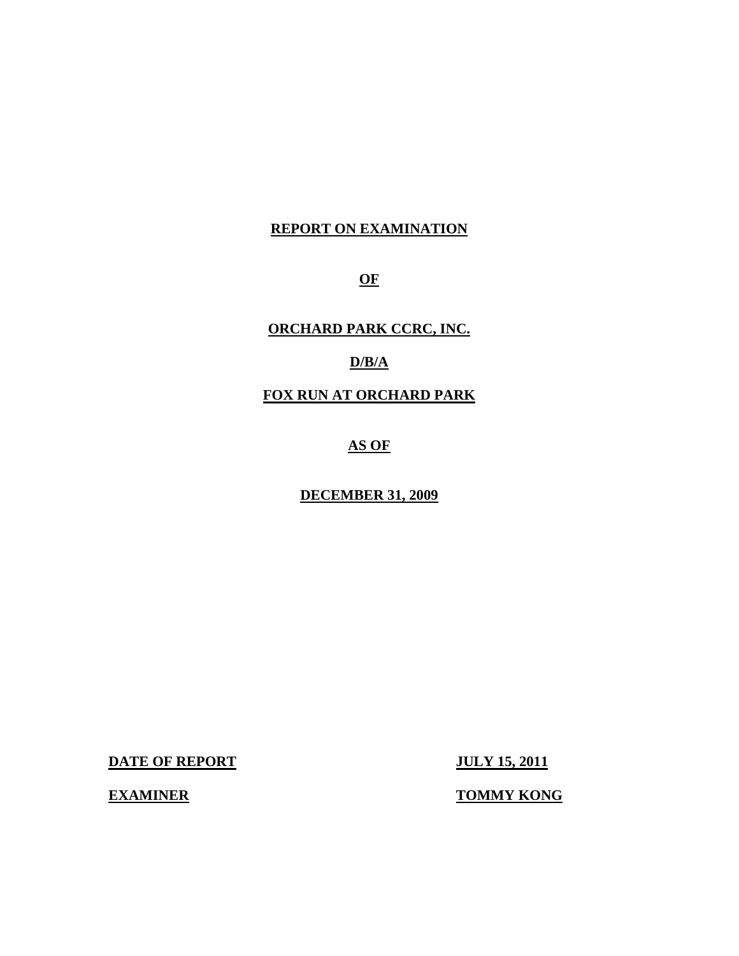## **REPORT ON EXAMINATION**

**OF** 

**ORCHARD PARK CCRC, INC.** 

## **D/B/A**

**FOX RUN AT ORCHARD PARK** 

# **AS OF**

## **DECEMBER 31, 2009**

**DATE OF REPORT JULY 15, 2011** 

**EXAMINER TOMMY KONG**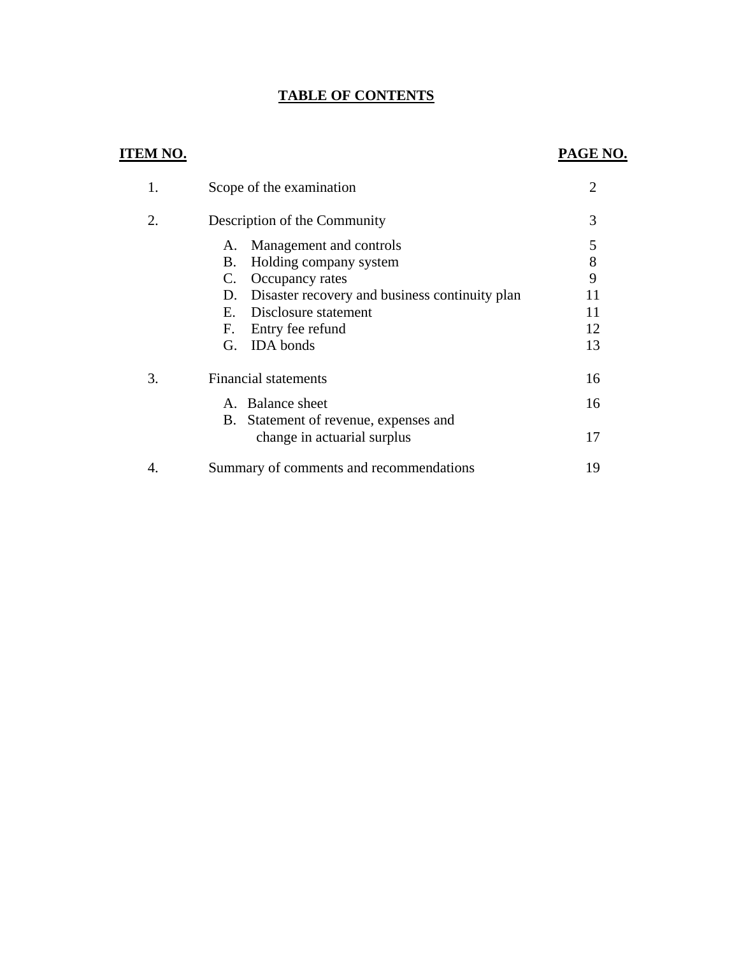## **TABLE OF CONTENTS**

## **ITEM NO.**

## **PAGE NO.**

|    | Scope of the examination                             | $\overline{2}$ |
|----|------------------------------------------------------|----------------|
| 2. | Description of the Community                         | 3              |
|    | Management and controls<br>А.                        | 5              |
|    | Holding company system<br>В.                         | 8              |
|    | C.<br>Occupancy rates                                | 9              |
|    | Disaster recovery and business continuity plan<br>D. | 11             |
|    | Disclosure statement<br>Е.                           | 11             |
|    | F. Entry fee refund                                  | 12             |
|    | <b>IDA</b> bonds<br>G.                               | 13             |
| 3. | <b>Financial statements</b>                          | 16             |
|    | A. Balance sheet                                     | 16             |
|    | Statement of revenue, expenses and<br>B.             |                |
|    | change in actuarial surplus                          | 17             |
|    | Summary of comments and recommendations              | 19             |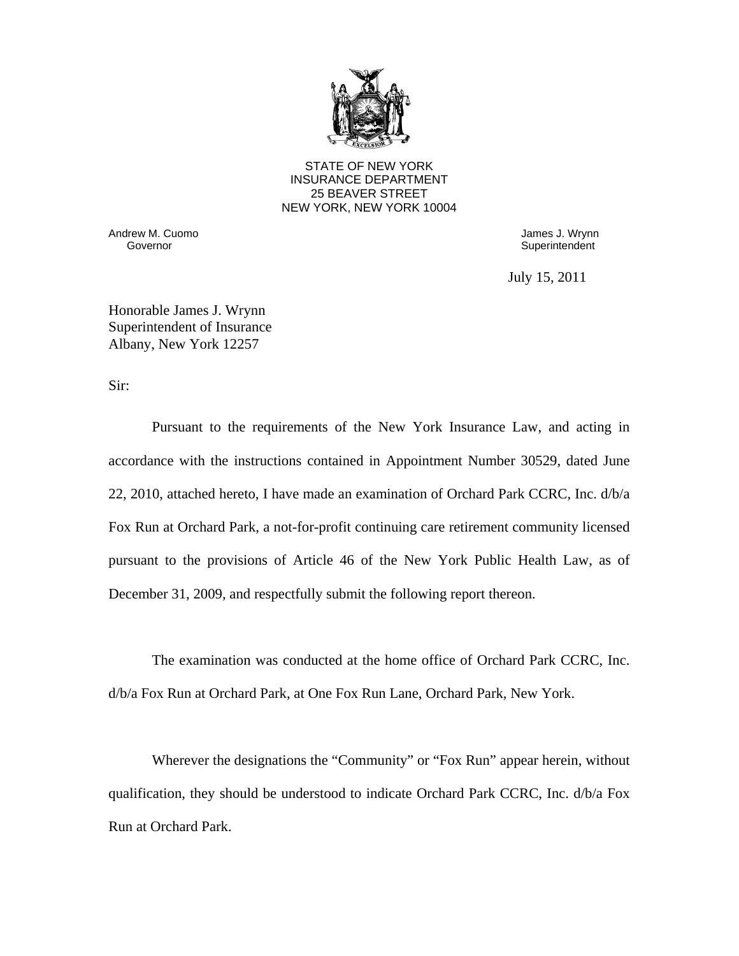

STATE OF NEW YORK INSURANCE DEPARTMENT 25 BEAVER STREET NEW YORK, NEW YORK 10004

Andrew M. Cuomo **Galaxy and Solution Culture Control** Cuonness J. Wrynn Governor Cube<br>Covernor **Governor** 

Superintendent

July 15, 2011

Honorable James J. Wrynn Superintendent of Insurance Albany, New York 12257

Sir:

Pursuant to the requirements of the New York Insurance Law, and acting in accordance with the instructions contained in Appointment Number 30529, dated June 22, 2010, attached hereto, I have made an examination of Orchard Park CCRC, Inc. d/b/a Fox Run at Orchard Park, a not-for-profit continuing care retirement community licensed pursuant to the provisions of Article 46 of the New York Public Health Law, as of December 31, 2009, and respectfully submit the following report thereon.

The examination was conducted at the home office of Orchard Park CCRC, Inc. d/b/a Fox Run at Orchard Park, at One Fox Run Lane, Orchard Park, New York.

Wherever the designations the "Community" or "Fox Run" appear herein, without qualification, they should be understood to indicate Orchard Park CCRC, Inc. d/b/a Fox Run at Orchard Park.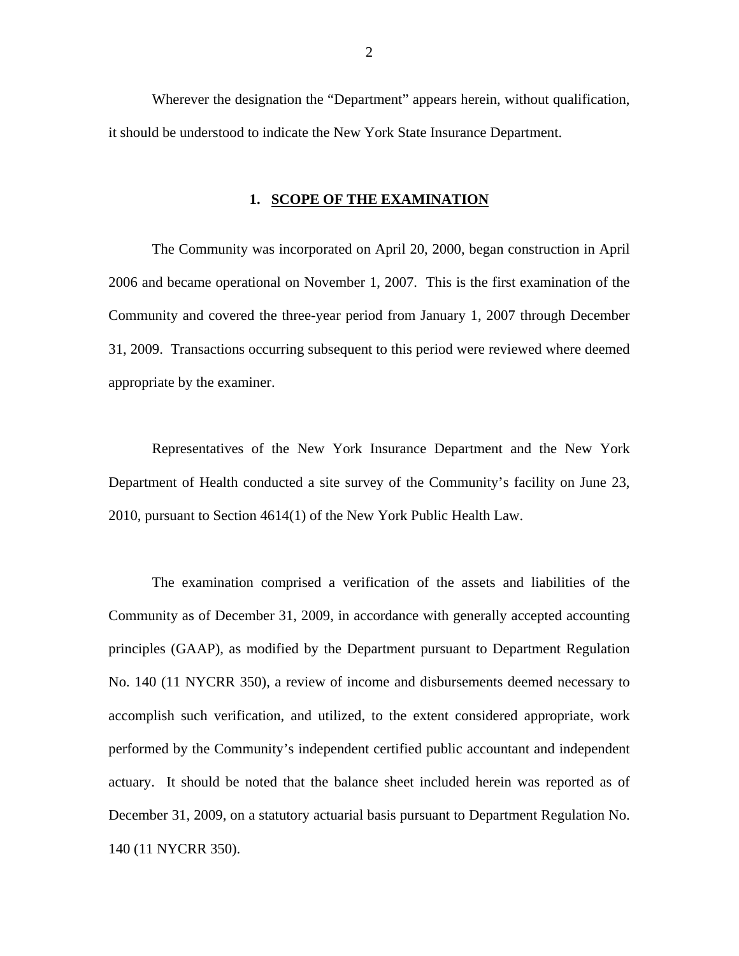Wherever the designation the "Department" appears herein, without qualification, it should be understood to indicate the New York State Insurance Department.

## **1. SCOPE OF THE EXAMINATION**

The Community was incorporated on April 20, 2000, began construction in April 2006 and became operational on November 1, 2007. This is the first examination of the Community and covered the three-year period from January 1, 2007 through December 31, 2009. Transactions occurring subsequent to this period were reviewed where deemed appropriate by the examiner.

Representatives of the New York Insurance Department and the New York Department of Health conducted a site survey of the Community's facility on June 23, 2010, pursuant to Section 4614(1) of the New York Public Health Law.

The examination comprised a verification of the assets and liabilities of the Community as of December 31, 2009, in accordance with generally accepted accounting principles (GAAP), as modified by the Department pursuant to Department Regulation No. 140 (11 NYCRR 350), a review of income and disbursements deemed necessary to accomplish such verification, and utilized, to the extent considered appropriate, work performed by the Community's independent certified public accountant and independent actuary. It should be noted that the balance sheet included herein was reported as of December 31, 2009, on a statutory actuarial basis pursuant to Department Regulation No. 140 (11 NYCRR 350).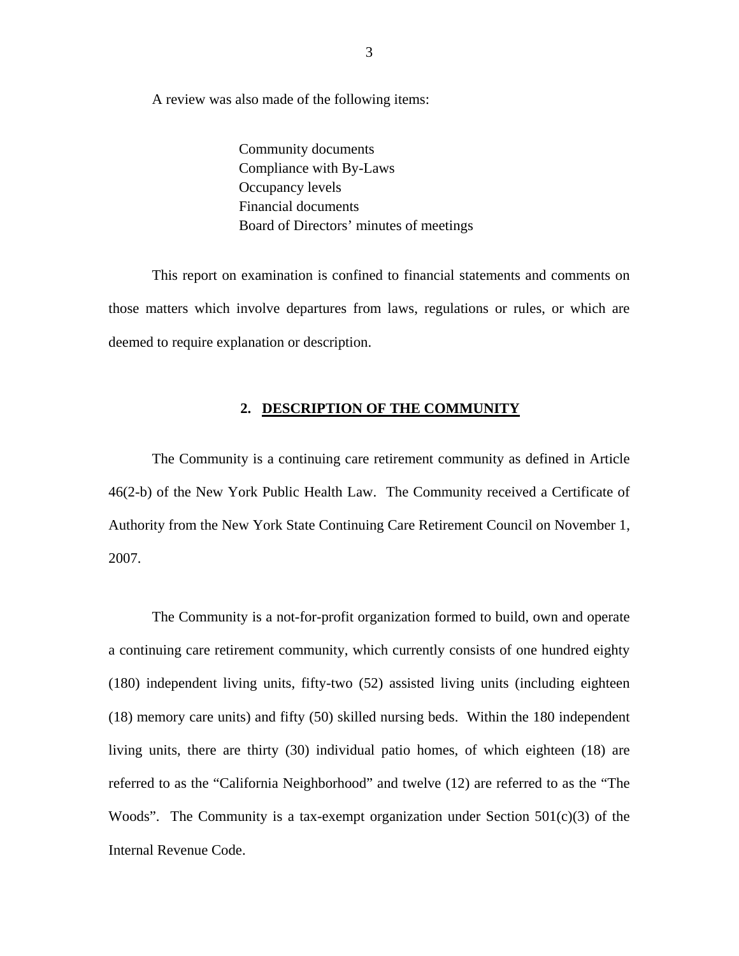A review was also made of the following items:

Community documents Compliance with By-Laws Occupancy levels Financial documents Board of Directors' minutes of meetings

This report on examination is confined to financial statements and comments on those matters which involve departures from laws, regulations or rules, or which are deemed to require explanation or description.

### **2. DESCRIPTION OF THE COMMUNITY**

The Community is a continuing care retirement community as defined in Article 46(2-b) of the New York Public Health Law. The Community received a Certificate of Authority from the New York State Continuing Care Retirement Council on November 1, 2007.

The Community is a not-for-profit organization formed to build, own and operate a continuing care retirement community, which currently consists of one hundred eighty (180) independent living units, fifty-two (52) assisted living units (including eighteen (18) memory care units) and fifty (50) skilled nursing beds. Within the 180 independent living units, there are thirty (30) individual patio homes, of which eighteen (18) are referred to as the "California Neighborhood" and twelve (12) are referred to as the "The Woods". The Community is a tax-exempt organization under Section  $501(c)(3)$  of the Internal Revenue Code.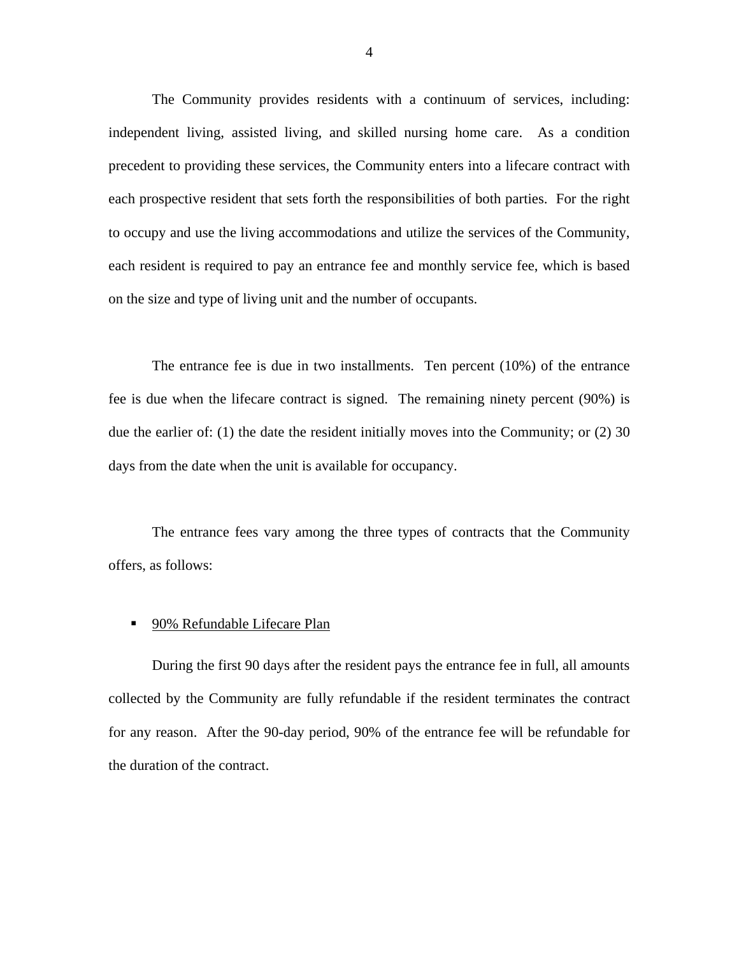The Community provides residents with a continuum of services, including: independent living, assisted living, and skilled nursing home care. As a condition precedent to providing these services, the Community enters into a lifecare contract with each prospective resident that sets forth the responsibilities of both parties. For the right to occupy and use the living accommodations and utilize the services of the Community, each resident is required to pay an entrance fee and monthly service fee, which is based on the size and type of living unit and the number of occupants.

The entrance fee is due in two installments. Ten percent (10%) of the entrance fee is due when the lifecare contract is signed. The remaining ninety percent (90%) is due the earlier of: (1) the date the resident initially moves into the Community; or (2) 30 days from the date when the unit is available for occupancy.

The entrance fees vary among the three types of contracts that the Community offers, as follows:

#### 90% Refundable Lifecare Plan

During the first 90 days after the resident pays the entrance fee in full, all amounts collected by the Community are fully refundable if the resident terminates the contract for any reason. After the 90-day period, 90% of the entrance fee will be refundable for the duration of the contract.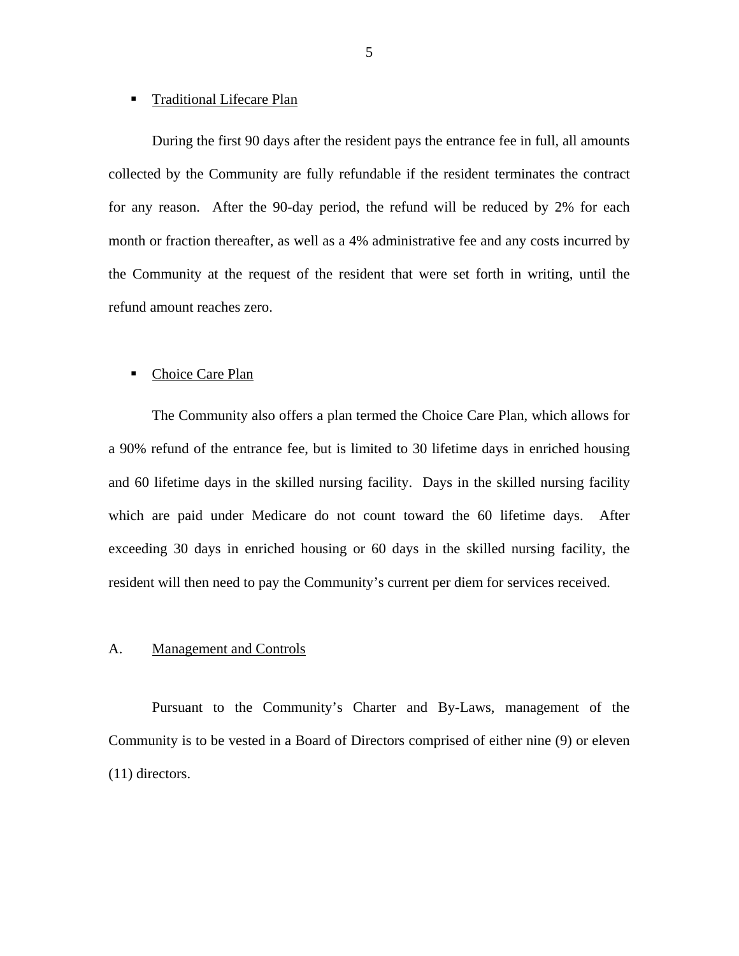#### **Traditional Lifecare Plan**

During the first 90 days after the resident pays the entrance fee in full, all amounts collected by the Community are fully refundable if the resident terminates the contract for any reason. After the 90-day period, the refund will be reduced by 2% for each month or fraction thereafter, as well as a 4% administrative fee and any costs incurred by the Community at the request of the resident that were set forth in writing, until the refund amount reaches zero.

#### ■ Choice Care Plan

The Community also offers a plan termed the Choice Care Plan, which allows for a 90% refund of the entrance fee, but is limited to 30 lifetime days in enriched housing and 60 lifetime days in the skilled nursing facility. Days in the skilled nursing facility which are paid under Medicare do not count toward the 60 lifetime days. After exceeding 30 days in enriched housing or 60 days in the skilled nursing facility, the resident will then need to pay the Community's current per diem for services received.

## A. Management and Controls

Pursuant to the Community's Charter and By-Laws, management of the Community is to be vested in a Board of Directors comprised of either nine (9) or eleven (11) directors.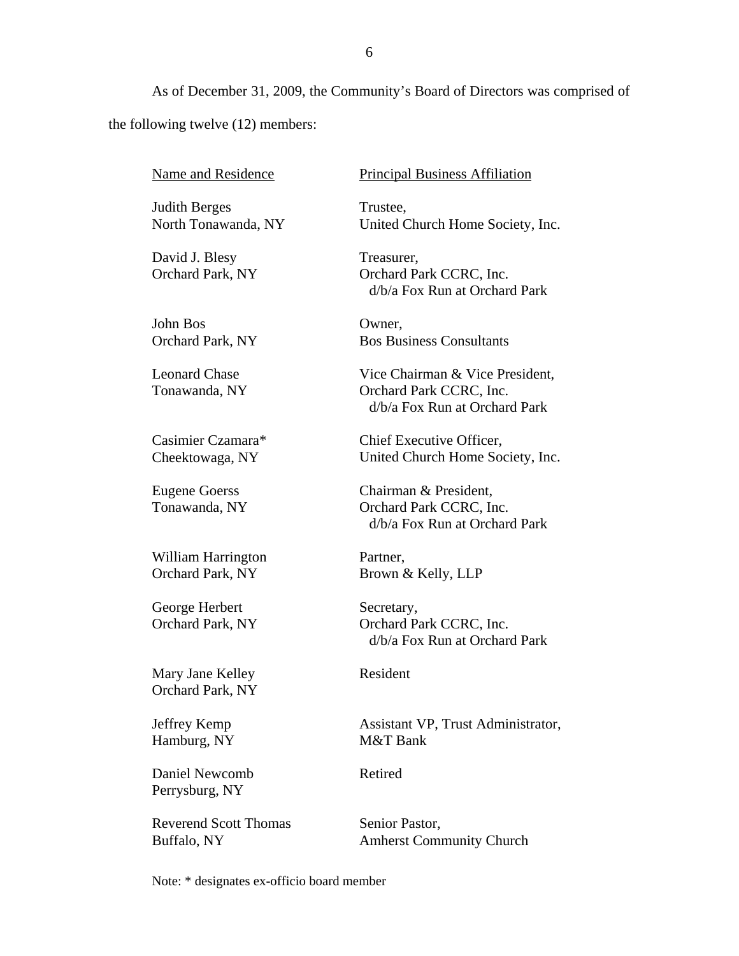As of December 31, 2009, the Community's Board of Directors was comprised of the following twelve (12) members:

Name and Residence

Judith Berges North Tonawanda, NY

David J. Blesy Orchard Park, NY

John Bos Orchard Park, NY

Leonard Chase Tonawanda, NY

Casimier Czamara\* Cheektowaga, NY

Eugene Goerss Tonawanda, NY

William Harrington Orchard Park, NY

George Herbert Orchard Park, NY

Mary Jane Kelley Orchard Park, NY

Jeffrey Kemp Hamburg, NY

Daniel Newcomb Perrysburg, NY

Reverend Scott Thomas Buffalo, NY

Principal Business Affiliation

Trustee, United Church Home Society, Inc.

Treasurer, Orchard Park CCRC, Inc. d/b/a Fox Run at Orchard Park

Owner, Bos Business Consultants

Vice Chairman & Vice President, Orchard Park CCRC, Inc. d/b/a Fox Run at Orchard Park

Chief Executive Officer, United Church Home Society, Inc.

Chairman & President, Orchard Park CCRC, Inc. d/b/a Fox Run at Orchard Park

Partner, Brown & Kelly, LLP

Secretary, Orchard Park CCRC, Inc. d/b/a Fox Run at Orchard Park

Resident

Assistant VP, Trust Administrator, M&T Bank

Retired

Senior Pastor, Amherst Community Church

Note: \* designates ex-officio board member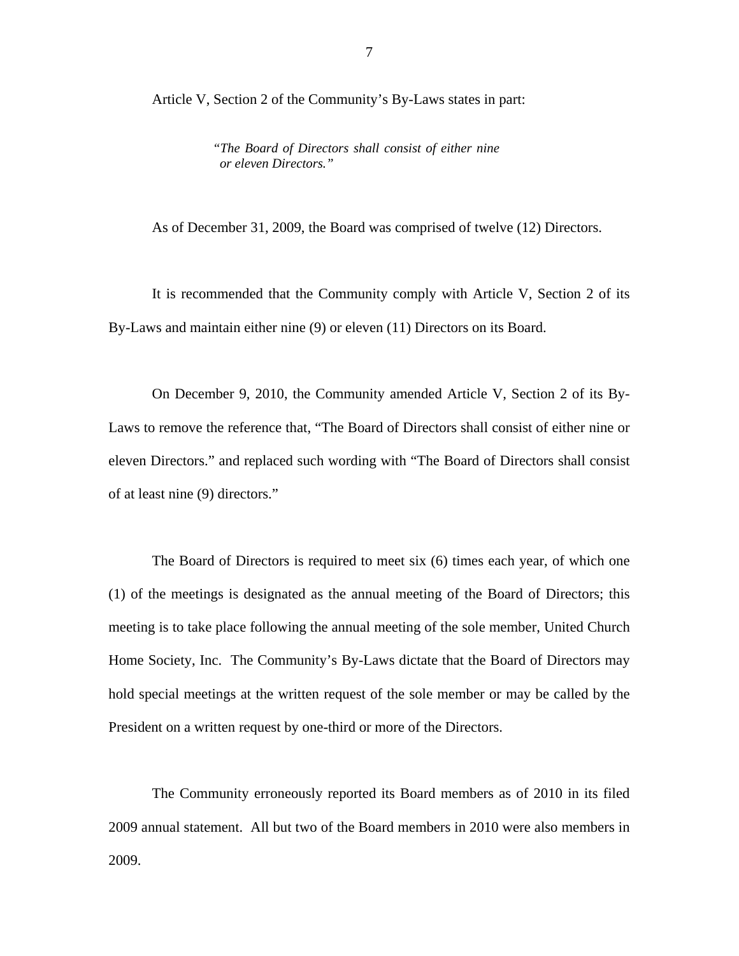Article V, Section 2 of the Community's By-Laws states in part:

*"The Board of Directors shall consist of either nine or eleven Directors."* 

As of December 31, 2009, the Board was comprised of twelve (12) Directors.

It is recommended that the Community comply with Article V, Section 2 of its By-Laws and maintain either nine (9) or eleven (11) Directors on its Board.

On December 9, 2010, the Community amended Article V, Section 2 of its By-Laws to remove the reference that, "The Board of Directors shall consist of either nine or eleven Directors." and replaced such wording with "The Board of Directors shall consist of at least nine (9) directors."

The Board of Directors is required to meet six (6) times each year, of which one (1) of the meetings is designated as the annual meeting of the Board of Directors; this meeting is to take place following the annual meeting of the sole member, United Church Home Society, Inc. The Community's By-Laws dictate that the Board of Directors may hold special meetings at the written request of the sole member or may be called by the President on a written request by one-third or more of the Directors.

The Community erroneously reported its Board members as of 2010 in its filed 2009 annual statement. All but two of the Board members in 2010 were also members in 2009.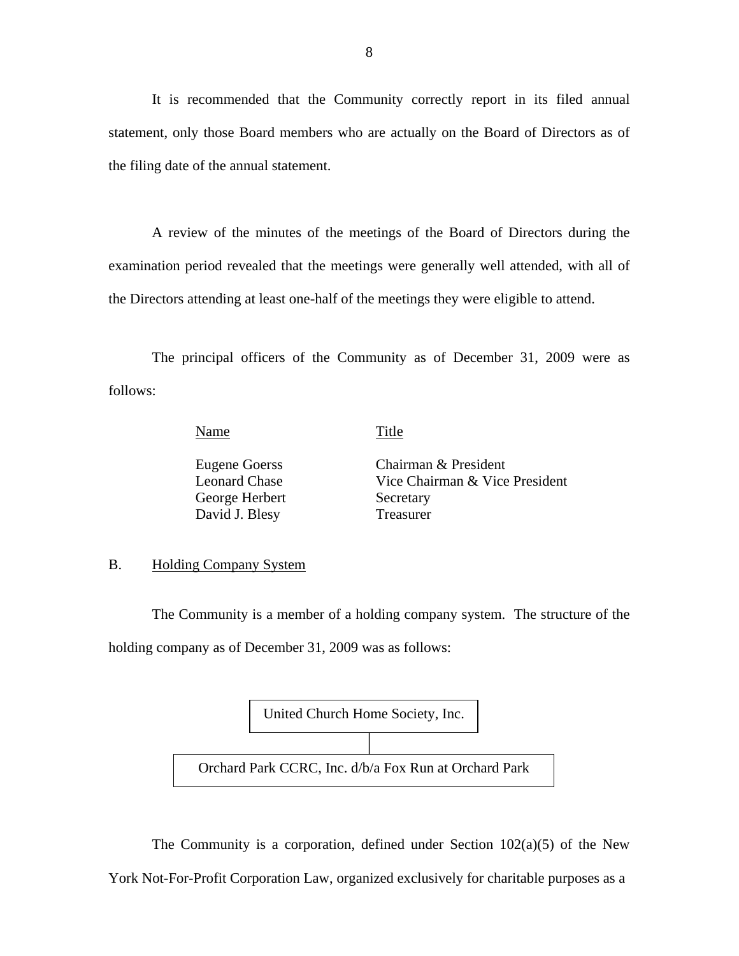It is recommended that the Community correctly report in its filed annual statement, only those Board members who are actually on the Board of Directors as of the filing date of the annual statement.

A review of the minutes of the meetings of the Board of Directors during the examination period revealed that the meetings were generally well attended, with all of the Directors attending at least one-half of the meetings they were eligible to attend.

The principal officers of the Community as of December 31, 2009 were as follows:

Name Title

George Herbert Secretary David J. Blesy Treasurer

Eugene Goerss Chairman & President Leonard Chase Vice Chairman & Vice President

### B. Holding Company System

The Community is a member of a holding company system. The structure of the holding company as of December 31, 2009 was as follows:



The Community is a corporation, defined under Section  $102(a)(5)$  of the New York Not-For-Profit Corporation Law, organized exclusively for charitable purposes as a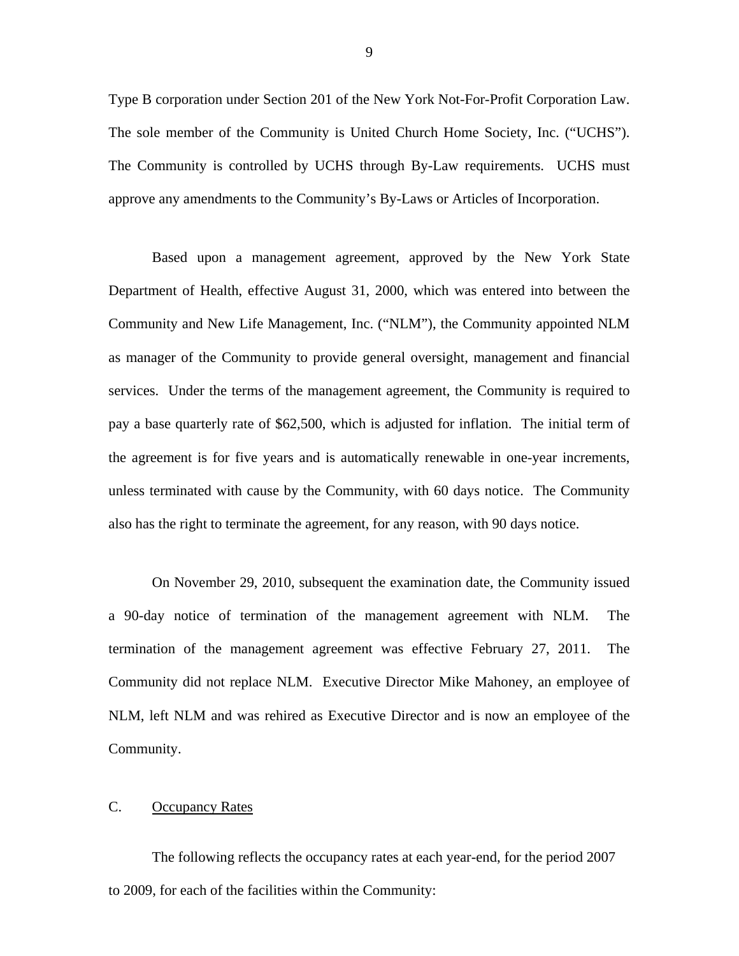Type B corporation under Section 201 of the New York Not-For-Profit Corporation Law. The sole member of the Community is United Church Home Society, Inc. ("UCHS"). The Community is controlled by UCHS through By-Law requirements. UCHS must approve any amendments to the Community's By-Laws or Articles of Incorporation.

Based upon a management agreement, approved by the New York State Department of Health, effective August 31, 2000, which was entered into between the Community and New Life Management, Inc. ("NLM"), the Community appointed NLM as manager of the Community to provide general oversight, management and financial services. Under the terms of the management agreement, the Community is required to pay a base quarterly rate of \$62,500, which is adjusted for inflation. The initial term of the agreement is for five years and is automatically renewable in one-year increments, unless terminated with cause by the Community, with 60 days notice. The Community also has the right to terminate the agreement, for any reason, with 90 days notice.

On November 29, 2010, subsequent the examination date, the Community issued a 90-day notice of termination of the management agreement with NLM. The termination of the management agreement was effective February 27, 2011. The Community did not replace NLM. Executive Director Mike Mahoney, an employee of NLM, left NLM and was rehired as Executive Director and is now an employee of the Community.

### C. Occupancy Rates

The following reflects the occupancy rates at each year-end, for the period 2007 to 2009, for each of the facilities within the Community: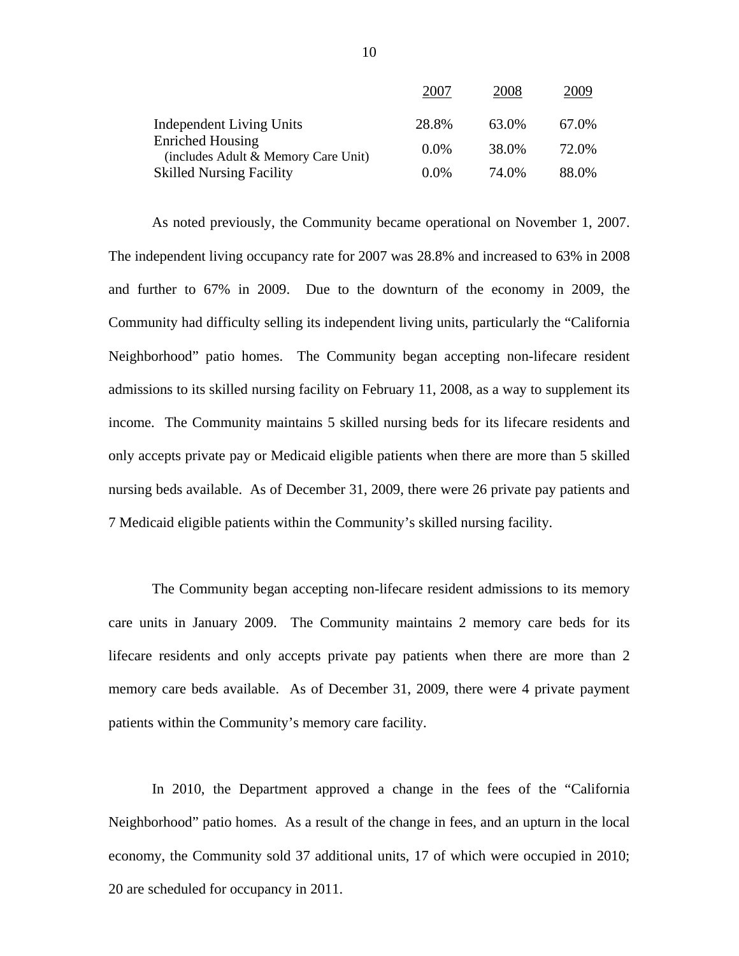|                                                                | 2007    | 2008  | 2009  |
|----------------------------------------------------------------|---------|-------|-------|
| <b>Independent Living Units</b>                                | 28.8%   | 63.0% | 67.0% |
| <b>Enriched Housing</b><br>(includes Adult & Memory Care Unit) | $0.0\%$ | 38.0% | 72.0% |
| <b>Skilled Nursing Facility</b>                                | $0.0\%$ | 74.0% | 88.0% |

As noted previously, the Community became operational on November 1, 2007. The independent living occupancy rate for 2007 was 28.8% and increased to 63% in 2008 and further to 67% in 2009. Due to the downturn of the economy in 2009, the Community had difficulty selling its independent living units, particularly the "California Neighborhood" patio homes. The Community began accepting non-lifecare resident admissions to its skilled nursing facility on February 11, 2008, as a way to supplement its income. The Community maintains 5 skilled nursing beds for its lifecare residents and only accepts private pay or Medicaid eligible patients when there are more than 5 skilled nursing beds available. As of December 31, 2009, there were 26 private pay patients and 7 Medicaid eligible patients within the Community's skilled nursing facility.

The Community began accepting non-lifecare resident admissions to its memory care units in January 2009. The Community maintains 2 memory care beds for its lifecare residents and only accepts private pay patients when there are more than 2 memory care beds available. As of December 31, 2009, there were 4 private payment patients within the Community's memory care facility.

In 2010, the Department approved a change in the fees of the "California Neighborhood" patio homes. As a result of the change in fees, and an upturn in the local economy, the Community sold 37 additional units, 17 of which were occupied in 2010; 20 are scheduled for occupancy in 2011.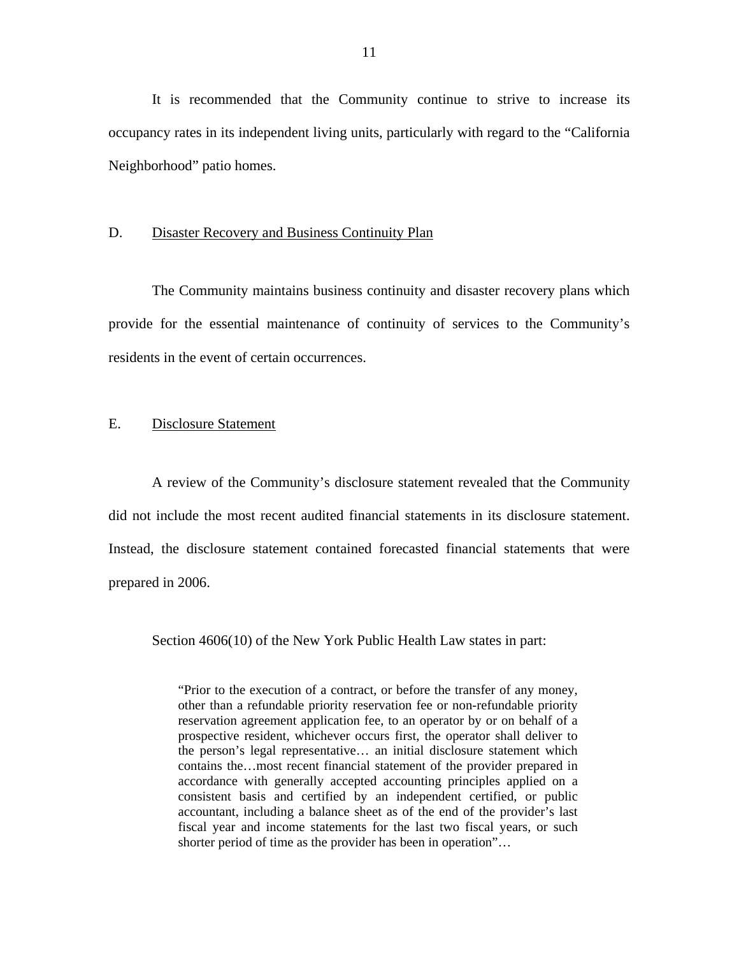It is recommended that the Community continue to strive to increase its occupancy rates in its independent living units, particularly with regard to the "California Neighborhood" patio homes.

#### D. Disaster Recovery and Business Continuity Plan

The Community maintains business continuity and disaster recovery plans which provide for the essential maintenance of continuity of services to the Community's residents in the event of certain occurrences.

## E. Disclosure Statement

A review of the Community's disclosure statement revealed that the Community did not include the most recent audited financial statements in its disclosure statement. Instead, the disclosure statement contained forecasted financial statements that were prepared in 2006.

Section 4606(10) of the New York Public Health Law states in part:

"Prior to the execution of a contract, or before the transfer of any money, other than a refundable priority reservation fee or non-refundable priority reservation agreement application fee, to an operator by or on behalf of a prospective resident, whichever occurs first, the operator shall deliver to the person's legal representative… an initial disclosure statement which contains the…most recent financial statement of the provider prepared in accordance with generally accepted accounting principles applied on a consistent basis and certified by an independent certified, or public accountant, including a balance sheet as of the end of the provider's last fiscal year and income statements for the last two fiscal years, or such shorter period of time as the provider has been in operation"...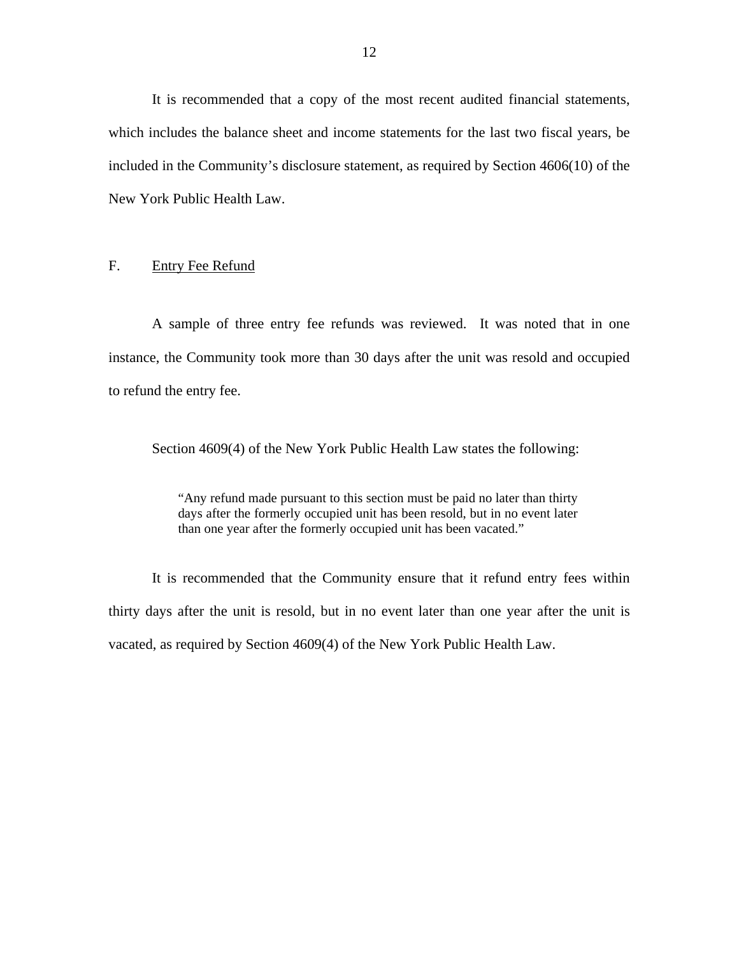It is recommended that a copy of the most recent audited financial statements, which includes the balance sheet and income statements for the last two fiscal years, be included in the Community's disclosure statement, as required by Section 4606(10) of the New York Public Health Law.

## F. Entry Fee Refund

A sample of three entry fee refunds was reviewed. It was noted that in one instance, the Community took more than 30 days after the unit was resold and occupied to refund the entry fee.

Section 4609(4) of the New York Public Health Law states the following:

"Any refund made pursuant to this section must be paid no later than thirty days after the formerly occupied unit has been resold, but in no event later than one year after the formerly occupied unit has been vacated."

It is recommended that the Community ensure that it refund entry fees within thirty days after the unit is resold, but in no event later than one year after the unit is vacated, as required by Section 4609(4) of the New York Public Health Law.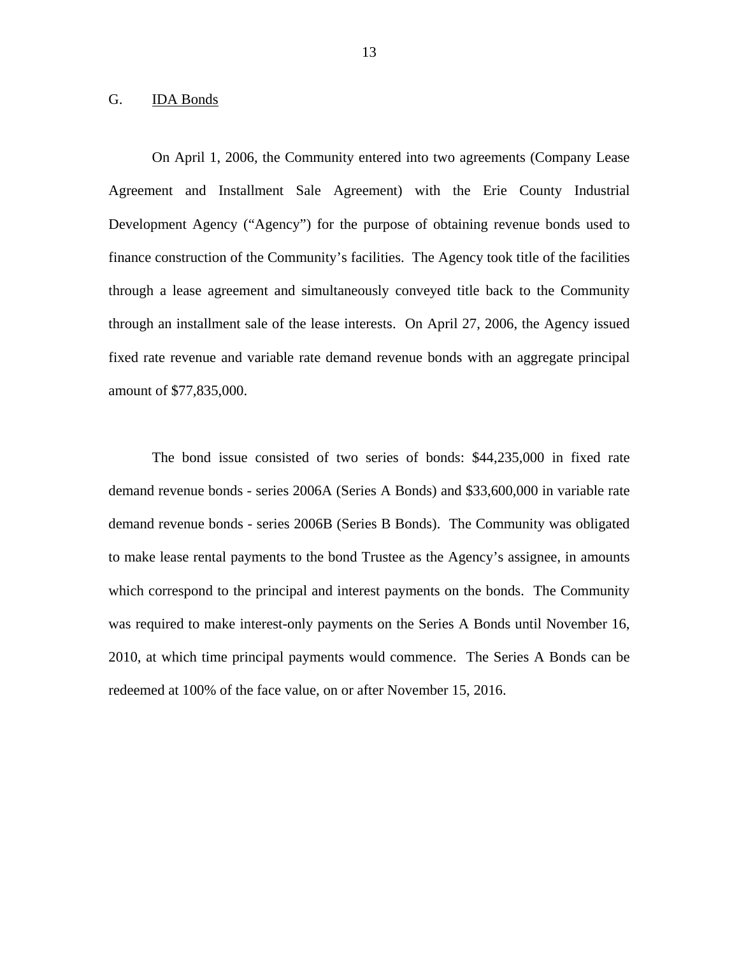## G. IDA Bonds

On April 1, 2006, the Community entered into two agreements (Company Lease Agreement and Installment Sale Agreement) with the Erie County Industrial Development Agency ("Agency") for the purpose of obtaining revenue bonds used to finance construction of the Community's facilities. The Agency took title of the facilities through a lease agreement and simultaneously conveyed title back to the Community through an installment sale of the lease interests. On April 27, 2006, the Agency issued fixed rate revenue and variable rate demand revenue bonds with an aggregate principal amount of \$77,835,000.

The bond issue consisted of two series of bonds: \$44,235,000 in fixed rate demand revenue bonds - series 2006A (Series A Bonds) and \$33,600,000 in variable rate demand revenue bonds - series 2006B (Series B Bonds). The Community was obligated to make lease rental payments to the bond Trustee as the Agency's assignee, in amounts which correspond to the principal and interest payments on the bonds. The Community was required to make interest-only payments on the Series A Bonds until November 16, 2010, at which time principal payments would commence. The Series A Bonds can be redeemed at 100% of the face value, on or after November 15, 2016.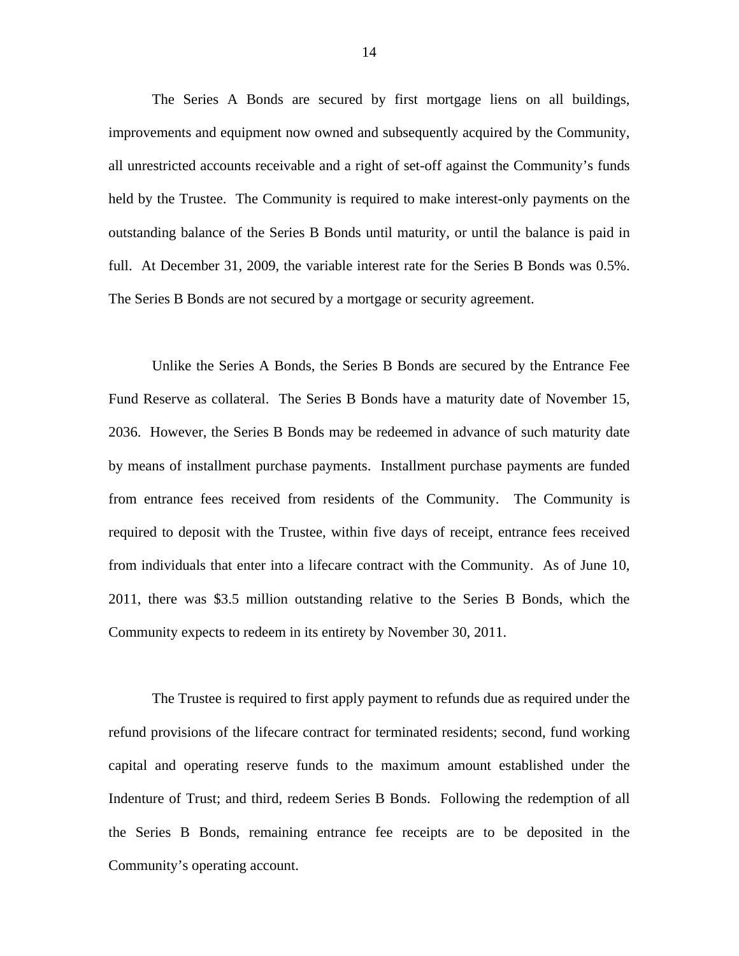full. At December 31, 2009, the variable interest rate for the Series B Bonds was 0.5%. The Series B Bonds are not secured by a mortgage or security agreement. The Series A Bonds are secured by first mortgage liens on all buildings, improvements and equipment now owned and subsequently acquired by the Community, all unrestricted accounts receivable and a right of set-off against the Community's funds held by the Trustee. The Community is required to make interest-only payments on the outstanding balance of the Series B Bonds until maturity, or until the balance is paid in

Unlike the Series A Bonds, the Series B Bonds are secured by the Entrance Fee Fund Reserve as collateral. The Series B Bonds have a maturity date of November 15, 2036. However, the Series B Bonds may be redeemed in advance of such maturity date by means of installment purchase payments. Installment purchase payments are funded from entrance fees received from residents of the Community. The Community is required to deposit with the Trustee, within five days of receipt, entrance fees received from individuals that enter into a lifecare contract with the Community. As of June 10, 2011, there was \$3.5 million outstanding relative to the Series B Bonds, which the Community expects to redeem in its entirety by November 30, 2011.

The Trustee is required to first apply payment to refunds due as required under the refund provisions of the lifecare contract for terminated residents; second, fund working capital and operating reserve funds to the maximum amount established under the Indenture of Trust; and third, redeem Series B Bonds. Following the redemption of all the Series B Bonds, remaining entrance fee receipts are to be deposited in the Community's operating account.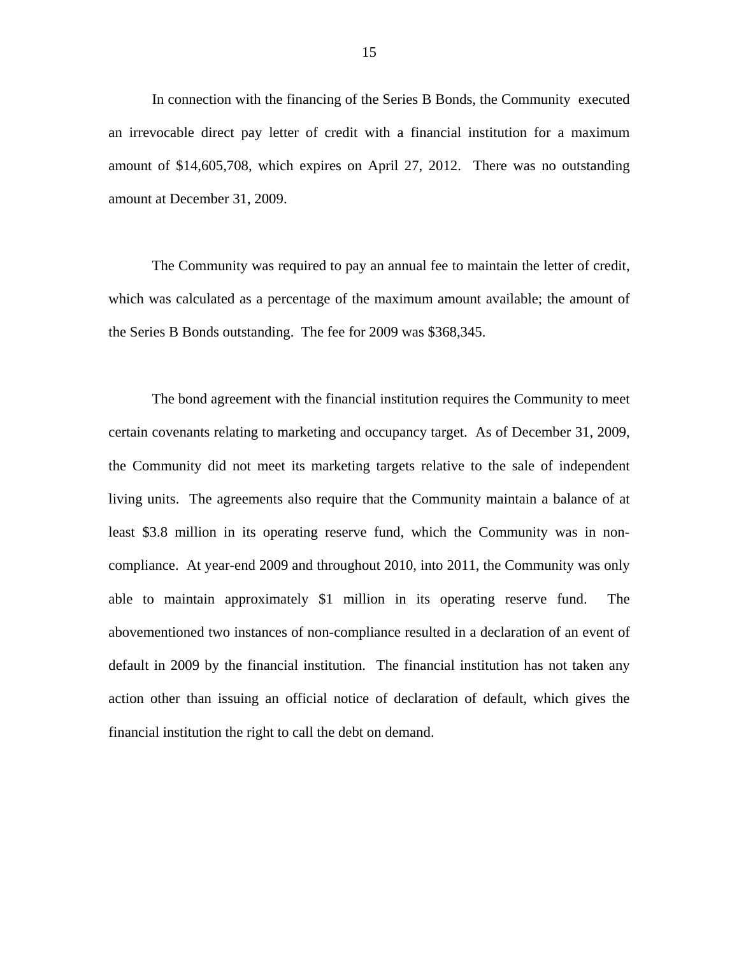In connection with the financing of the Series B Bonds, the Community executed an irrevocable direct pay letter of credit with a financial institution for a maximum amount of \$14,605,708, which expires on April 27, 2012. There was no outstanding amount at December 31, 2009.

The Community was required to pay an annual fee to maintain the letter of credit, which was calculated as a percentage of the maximum amount available; the amount of the Series B Bonds outstanding. The fee for 2009 was \$368,345.

The bond agreement with the financial institution requires the Community to meet certain covenants relating to marketing and occupancy target. As of December 31, 2009, the Community did not meet its marketing targets relative to the sale of independent living units. The agreements also require that the Community maintain a balance of at least \$3.8 million in its operating reserve fund, which the Community was in noncompliance. At year-end 2009 and throughout 2010, into 2011, the Community was only able to maintain approximately \$1 million in its operating reserve fund. The abovementioned two instances of non-compliance resulted in a declaration of an event of default in 2009 by the financial institution. The financial institution has not taken any action other than issuing an official notice of declaration of default, which gives the financial institution the right to call the debt on demand.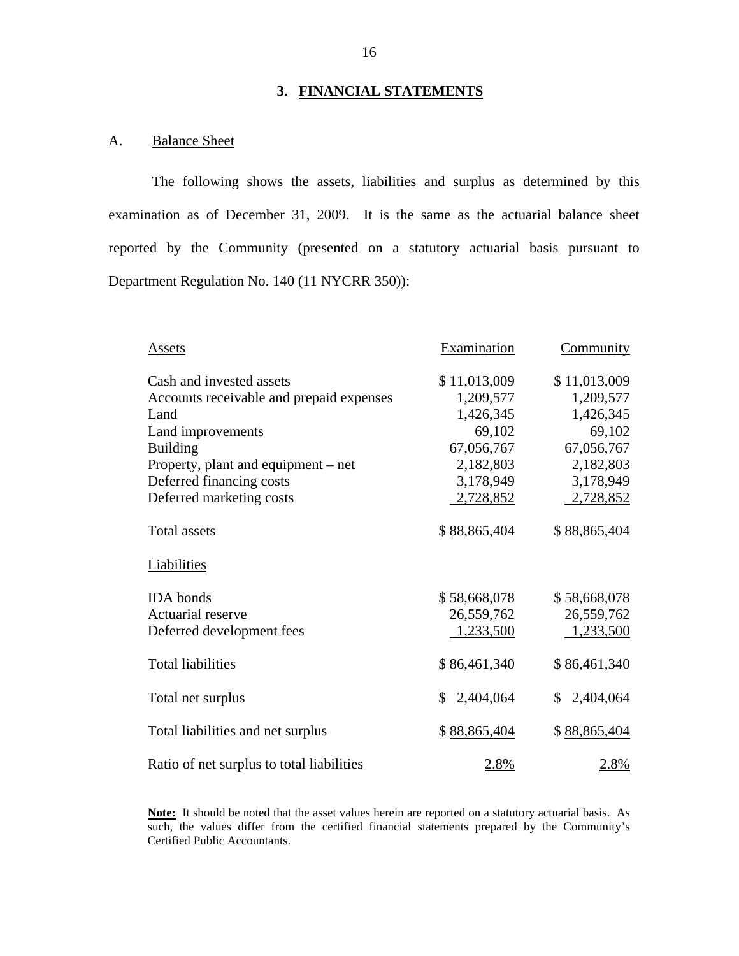## **3. FINANCIAL STATEMENTS**

## A. Balance Sheet

The following shows the assets, liabilities and surplus as determined by this examination as of December 31, 2009. It is the same as the actuarial balance sheet reported by the Community (presented on a statutory actuarial basis pursuant to Department Regulation No. 140 (11 NYCRR 350)):

| Assets                                    | Examination     | Community    |
|-------------------------------------------|-----------------|--------------|
| Cash and invested assets                  | \$11,013,009    | \$11,013,009 |
| Accounts receivable and prepaid expenses  | 1,209,577       | 1,209,577    |
| Land                                      | 1,426,345       | 1,426,345    |
| Land improvements                         | 69,102          | 69,102       |
| <b>Building</b>                           | 67,056,767      | 67,056,767   |
| Property, plant and equipment – net       | 2,182,803       | 2,182,803    |
| Deferred financing costs                  | 3,178,949       | 3,178,949    |
| Deferred marketing costs                  | 2,728,852       | 2,728,852    |
|                                           |                 |              |
| <b>Total assets</b>                       | \$88,865,404    | \$88,865,404 |
| Liabilities                               |                 |              |
| <b>IDA</b> bonds                          | \$58,668,078    | \$58,668,078 |
| Actuarial reserve                         | 26,559,762      | 26,559,762   |
| Deferred development fees                 | 1,233,500       | 1,233,500    |
|                                           |                 |              |
| <b>Total liabilities</b>                  | \$86,461,340    | \$86,461,340 |
|                                           |                 |              |
| Total net surplus                         | 2,404,064<br>\$ | \$2,404,064  |
|                                           |                 |              |
| Total liabilities and net surplus         | \$88,865,404    | \$88,865,404 |
|                                           |                 |              |
| Ratio of net surplus to total liabilities | <u>2.8%</u>     | <u>2.8%</u>  |

**Note:** It should be noted that the asset values herein are reported on a statutory actuarial basis. As such, the values differ from the certified financial statements prepared by the Community's Certified Public Accountants.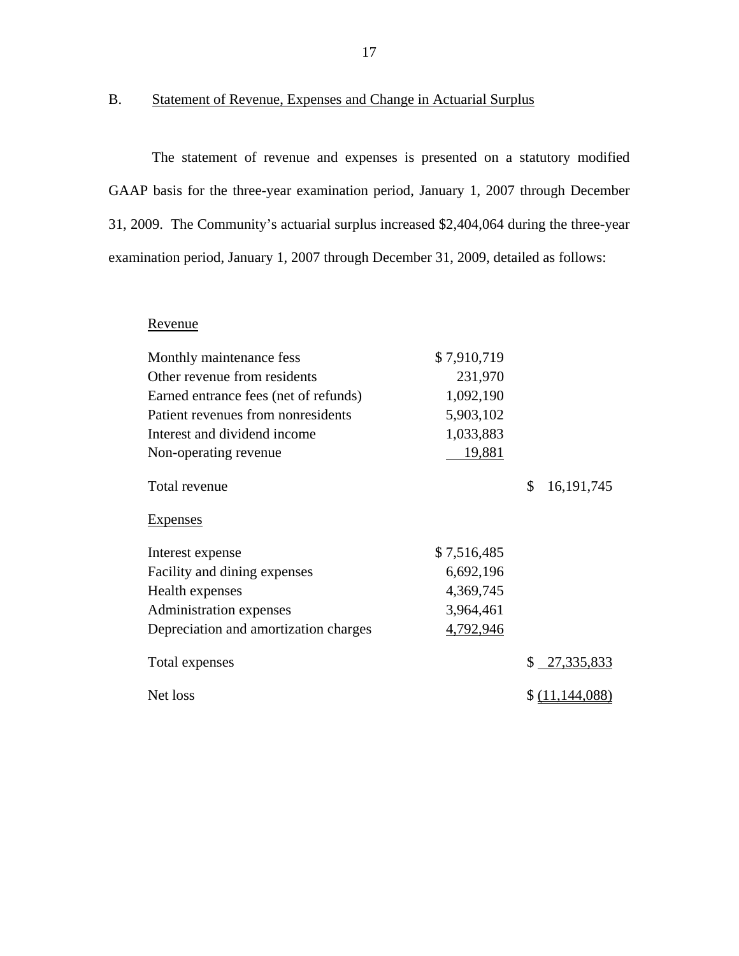## B. Statement of Revenue, Expenses and Change in Actuarial Surplus

The statement of revenue and expenses is presented on a statutory modified GAAP basis for the three-year examination period, January 1, 2007 through December 31, 2009. The Community's actuarial surplus increased \$2,404,064 during the three-year examination period, January 1, 2007 through December 31, 2009, detailed as follows:

## Revenue

| Monthly maintenance fess              | \$7,910,719 |                    |
|---------------------------------------|-------------|--------------------|
| Other revenue from residents          | 231,970     |                    |
| Earned entrance fees (net of refunds) | 1,092,190   |                    |
| Patient revenues from nonresidents    | 5,903,102   |                    |
| Interest and dividend income          | 1,033,883   |                    |
| Non-operating revenue                 | 19,881      |                    |
| Total revenue                         |             | \$<br>16, 191, 745 |
| <b>Expenses</b>                       |             |                    |
| Interest expense                      | \$7,516,485 |                    |
| Facility and dining expenses          | 6,692,196   |                    |
| Health expenses                       | 4,369,745   |                    |
| Administration expenses               | 3,964,461   |                    |
| Depreciation and amortization charges | 4,792,946   |                    |
| Total expenses                        |             | \$27,335,833       |
| Net loss                              |             | \$(11,144,088)     |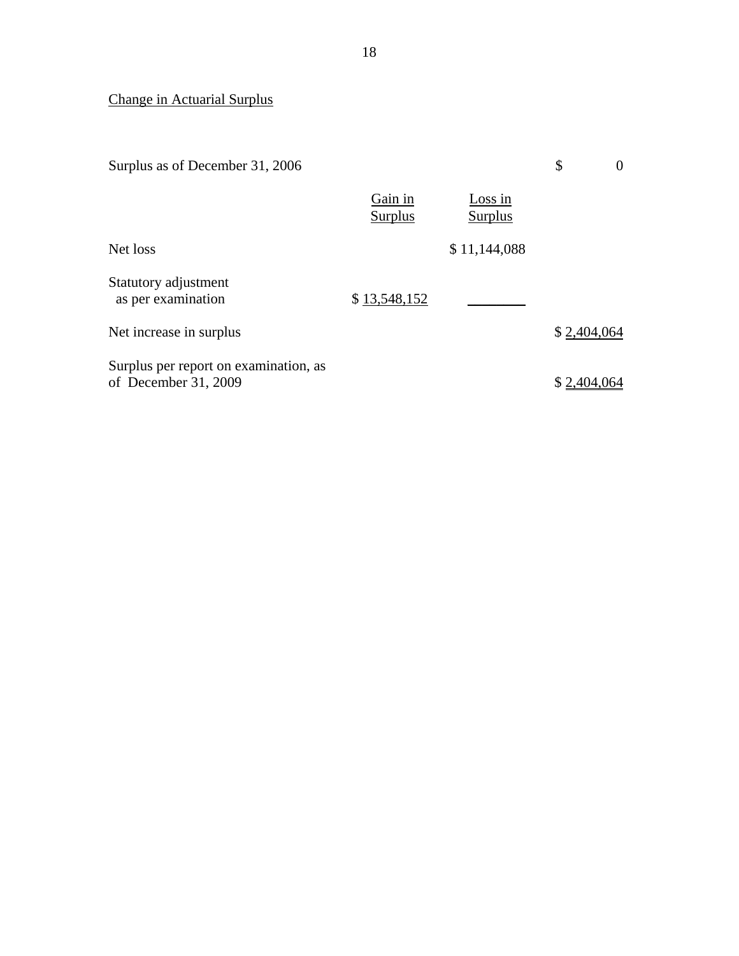# Change in Actuarial Surplus

| Surplus as of December 31, 2006                               |                           |                    | \$          | $\overline{0}$ |
|---------------------------------------------------------------|---------------------------|--------------------|-------------|----------------|
|                                                               | Gain in<br><b>Surplus</b> | Loss in<br>Surplus |             |                |
| Net loss                                                      |                           | \$11,144,088       |             |                |
| Statutory adjustment<br>as per examination                    | \$13,548,152              |                    |             |                |
| Net increase in surplus                                       |                           |                    | \$2,404,064 |                |
| Surplus per report on examination, as<br>of December 31, 2009 |                           |                    | \$2,404,0   |                |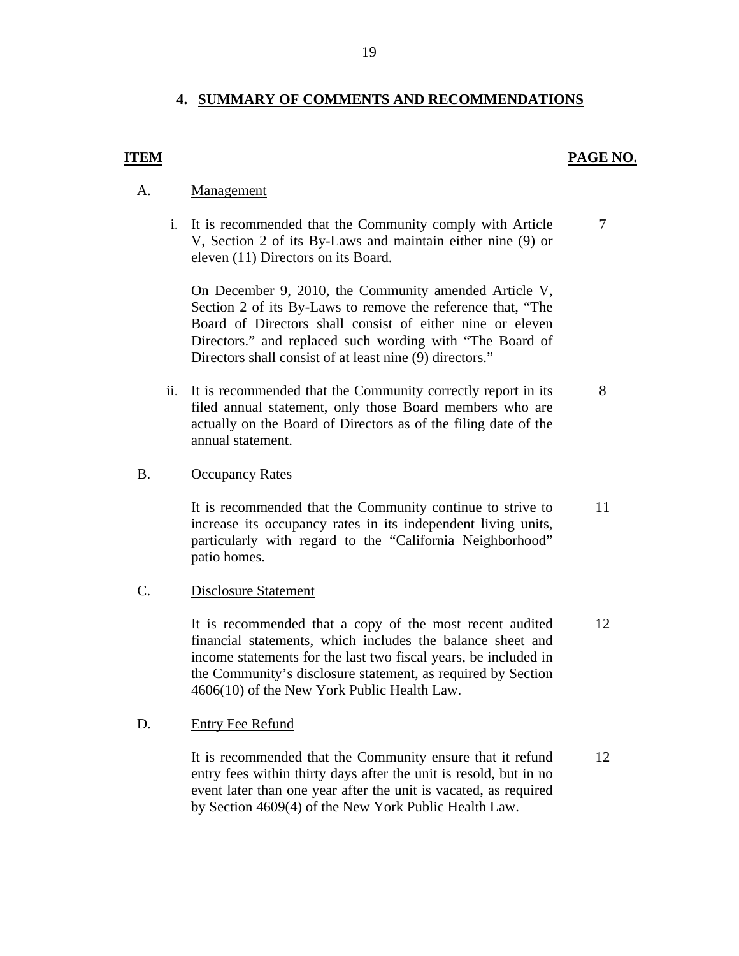## **4. SUMMARY OF COMMENTS AND RECOMMENDATIONS**

#### **ITEM** PAGE NO.

7

8

#### Management

A. <u>Management</u><br>i. It is recommended that the Community comply with Article V, Section 2 of its By-Laws and maintain either nine (9) or eleven (11) Directors on its Board.

> On December 9, 2010, the Community amended Article V, Section 2 of its By-Laws to remove the reference that, "The Board of Directors shall consist of either nine or eleven Directors." and replaced such wording with "The Board of Directors shall consist of at least nine (9) directors."

ii. It is recommended that the Community correctly report in its filed annual statement, only those Board members who are actually on the Board of Directors as of the filing date of the annual statement.

#### **Occupancy Rates**

B. Occupancy Rates<br>It is recommended that the Community continue to strive to increase its occupancy rates in its independent living units, particularly with regard to the "California Neighborhood" patio homes. 11

#### **Disclosure Statement**

C. Disclosure Statement<br>It is recommended that a copy of the most recent audited financial statements, which includes the balance sheet and income statements for the last two fiscal years, be included in the Community's disclosure statement, as required by Section 4606(10) of the New York Public Health Law. 12

#### **Entry Fee Refund**

D. Entry Fee Refund<br>It is recommended that the Community ensure that it refund entry fees within thirty days after the unit is resold, but in no event later than one year after the unit is vacated, as required by Section 4609(4) of the New York Public Health Law.

12